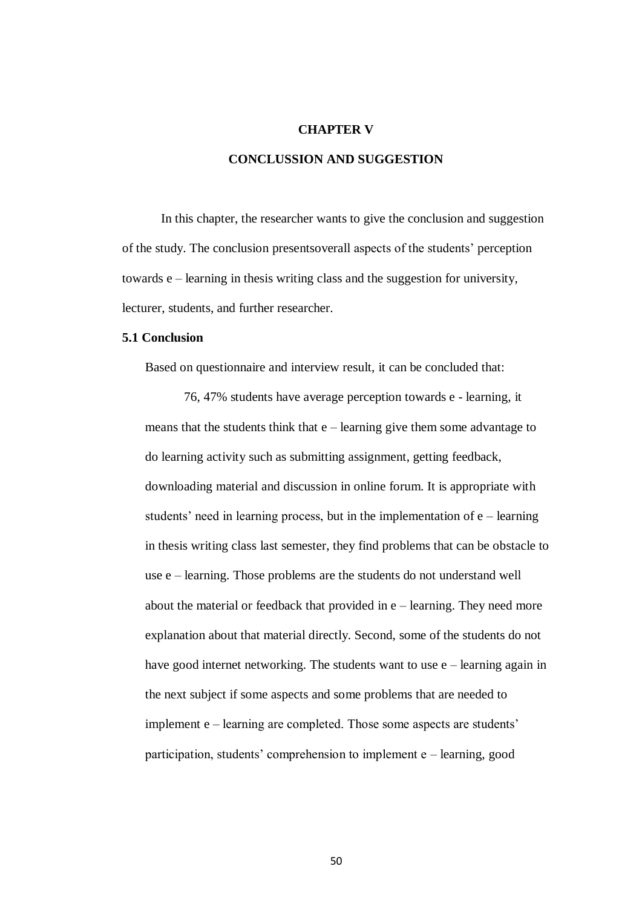## **CHAPTER V**

## **CONCLUSSION AND SUGGESTION**

In this chapter, the researcher wants to give the conclusion and suggestion of the study. The conclusion presentsoverall aspects of the students' perception towards e – learning in thesis writing class and the suggestion for university, lecturer, students, and further researcher.

## **5.1 Conclusion**

Based on questionnaire and interview result, it can be concluded that:

76, 47% students have average perception towards e - learning, it means that the students think that  $e$  – learning give them some advantage to do learning activity such as submitting assignment, getting feedback, downloading material and discussion in online forum. It is appropriate with students' need in learning process, but in the implementation of  $e$  – learning in thesis writing class last semester, they find problems that can be obstacle to use e – learning. Those problems are the students do not understand well about the material or feedback that provided in e – learning. They need more explanation about that material directly. Second, some of the students do not have good internet networking. The students want to use  $e$  – learning again in the next subject if some aspects and some problems that are needed to implement e – learning are completed. Those some aspects are students' participation, students' comprehension to implement e – learning, good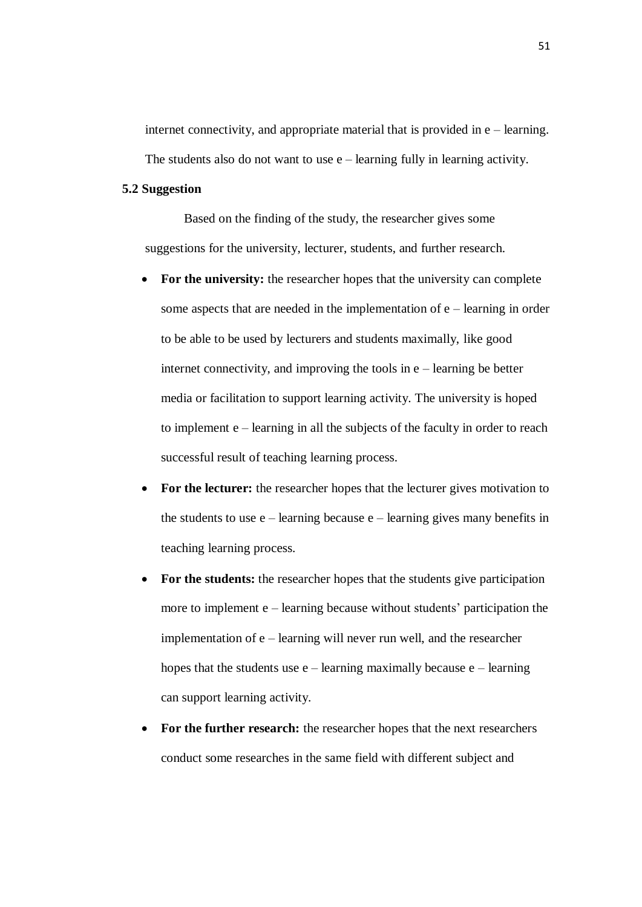internet connectivity, and appropriate material that is provided in  $e$  – learning. The students also do not want to use  $e$  – learning fully in learning activity.

## **5.2 Suggestion**

Based on the finding of the study, the researcher gives some suggestions for the university, lecturer, students, and further research.

- **For the university:** the researcher hopes that the university can complete some aspects that are needed in the implementation of e – learning in order to be able to be used by lecturers and students maximally, like good internet connectivity, and improving the tools in e – learning be better media or facilitation to support learning activity. The university is hoped to implement e – learning in all the subjects of the faculty in order to reach successful result of teaching learning process.
- **For the lecturer:** the researcher hopes that the lecturer gives motivation to the students to use  $e$  – learning because  $e$  – learning gives many benefits in teaching learning process.
- **For the students:** the researcher hopes that the students give participation more to implement e – learning because without students' participation the implementation of e – learning will never run well, and the researcher hopes that the students use  $e$  – learning maximally because  $e$  – learning can support learning activity.
- **For the further research:** the researcher hopes that the next researchers conduct some researches in the same field with different subject and